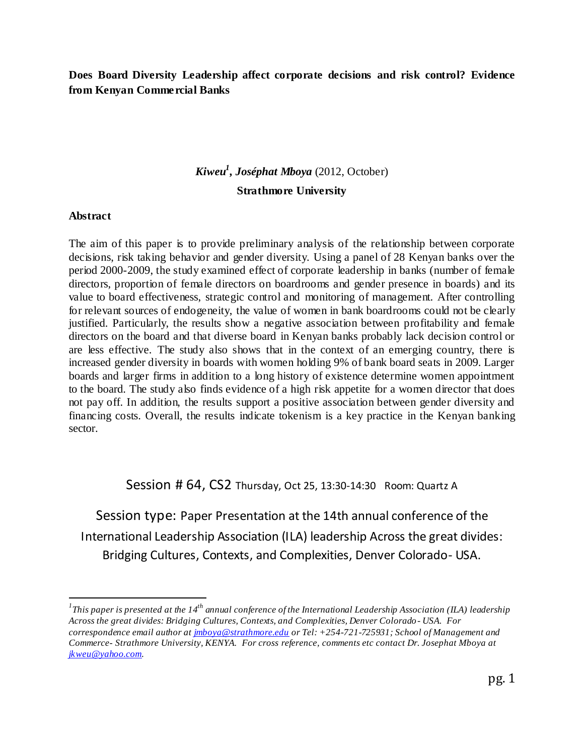**Does Board Diversity Leadership affect corporate decisions and risk control? Evidence from Kenyan Commercial Banks**

# *Kiweu<sup>1</sup> , Joséphat Mboya* (2012, October) **Strathmore University**

# **Abstract**

The aim of this paper is to provide preliminary analysis of the relationship between corporate decisions, risk taking behavior and gender diversity. Using a panel of 28 Kenyan banks over the period 2000-2009, the study examined effect of corporate leadership in banks (number of female directors, proportion of female directors on boardrooms and gender presence in boards) and its value to board effectiveness, strategic control and monitoring of management. After controlling for relevant sources of endogeneity, the value of women in bank boardrooms could not be clearly justified. Particularly, the results show a negative association between profitability and female directors on the board and that diverse board in Kenyan banks probably lack decision control or are less effective. The study also shows that in the context of an emerging country, there is increased gender diversity in boards with women holding 9% of bank board seats in 2009. Larger boards and larger firms in addition to a long history of existence determine women appointment to the board. The study also finds evidence of a high risk appetite for a women director that does not pay off. In addition, the results support a positive association between gender diversity and financing costs. Overall, the results indicate tokenism is a key practice in the Kenyan banking sector.

Session # 64, CS2 Thursday, Oct 25, 13:30-14:30 Room: Quartz A

Session type: Paper Presentation at the 14th annual conference of the International Leadership Association (ILA) leadership Across the great divides: Bridging Cultures, Contexts, and Complexities, Denver Colorado- USA.

*<sup>&</sup>lt;sup>1</sup> This paper is presented at the 14<sup>th</sup> annual conference of the International Leadership Association (ILA) leadership Across the great divides: Bridging Cultures, Contexts, and Complexities, Denver Colorado - USA. For correspondence email author a[t jmboya@strathmore.edu](mailto:jmboya@strathmore.edu) or Tel: +254-721-725931; School of Management and Commerce- Strathmore University, KENYA. For cross reference, comments etc contact Dr. Josephat Mboya at [jkweu@yahoo.com.](mailto:jkweu@yahoo.com)*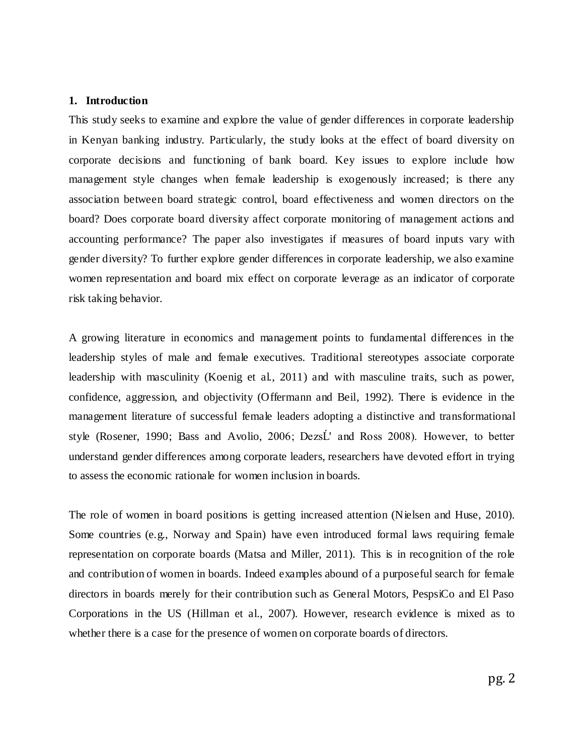## **1. Introduction**

This study seeks to examine and explore the value of gender differences in corporate leadership in Kenyan banking industry. Particularly, the study looks at the effect of board diversity on corporate decisions and functioning of bank board. Key issues to explore include how management style changes when female leadership is exogenously increased; is there any association between board strategic control, board effectiveness and women directors on the board? Does corporate board diversity affect corporate monitoring of management actions and accounting performance? The paper also investigates if measures of board inputs vary with gender diversity? To further explore gender differences in corporate leadership, we also examine women representation and board mix effect on corporate leverage as an indicator of corporate risk taking behavior.

A growing literature in economics and management points to fundamental differences in the leadership styles of male and female executives. Traditional stereotypes associate corporate leadership with masculinity (Koenig et al., 2011) and with masculine traits, such as power, confidence, aggression, and objectivity (Offermann and Beil, 1992). There is evidence in the management literature of successful female leaders adopting a distinctive and transformational style (Rosener, 1990; Bass and Avolio, 2006; DezsĹ' and Ross 2008). However, to better understand gender differences among corporate leaders, researchers have devoted effort in trying to assess the economic rationale for women inclusion in boards.

The role of women in board positions is getting increased attention (Nielsen and Huse, 2010). Some countries (e.g., Norway and Spain) have even introduced formal laws requiring female representation on corporate boards (Matsa and Miller, 2011). This is in recognition of the role and contribution of women in boards. Indeed examples abound of a purposeful search for female directors in boards merely for their contribution such as General Motors, PespsiCo and El Paso Corporations in the US (Hillman et al., 2007). However, research evidence is mixed as to whether there is a case for the presence of women on corporate boards of directors.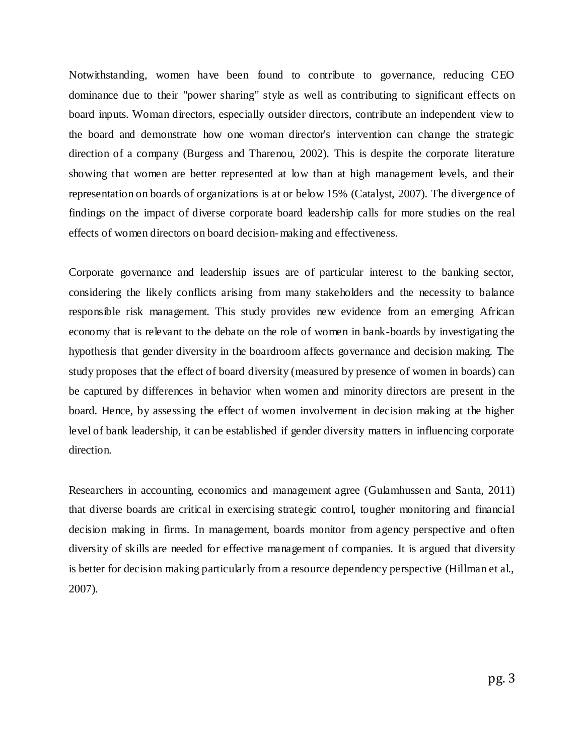Notwithstanding, women have been found to contribute to governance, reducing CEO dominance due to their "power sharing" style as well as contributing to significant effects on board inputs. Woman directors, especially outsider directors, contribute an independent view to the board and demonstrate how one woman director's intervention can change the strategic direction of a company (Burgess and Tharenou, 2002). This is despite the corporate literature showing that women are better represented at low than at high management levels, and their representation on boards of organizations is at or below 15% (Catalyst, 2007). The divergence of findings on the impact of diverse corporate board leadership calls for more studies on the real effects of women directors on board decision-making and effectiveness.

Corporate governance and leadership issues are of particular interest to the banking sector, considering the likely conflicts arising from many stakeholders and the necessity to balance responsible risk management. This study provides new evidence from an emerging African economy that is relevant to the debate on the role of women in bank-boards by investigating the hypothesis that gender diversity in the boardroom affects governance and decision making. The study proposes that the effect of board diversity (measured by presence of women in boards) can be captured by differences in behavior when women and minority directors are present in the board. Hence, by assessing the effect of women involvement in decision making at the higher level of bank leadership, it can be established if gender diversity matters in influencing corporate direction.

Researchers in accounting, economics and management agree (Gulamhussen and Santa, 2011) that diverse boards are critical in exercising strategic control, tougher monitoring and financial decision making in firms. In management, boards monitor from agency perspective and often diversity of skills are needed for effective management of companies. It is argued that diversity is better for decision making particularly from a resource dependency perspective (Hillman et al., 2007).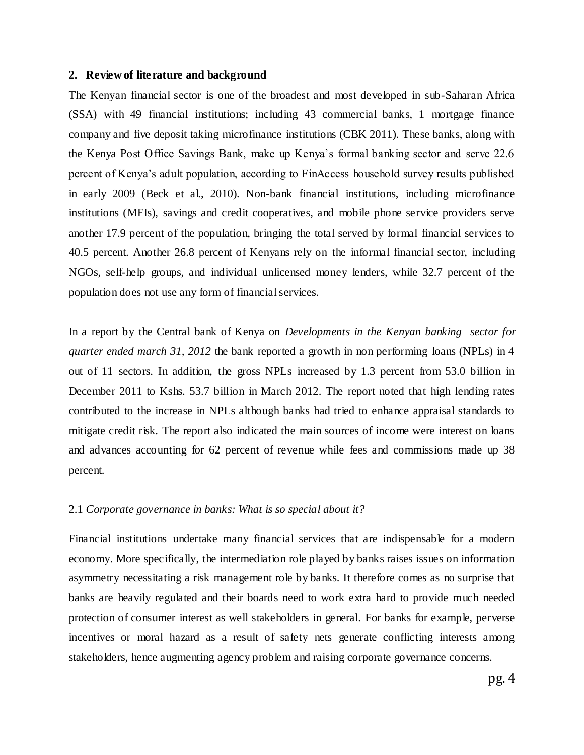#### **2. Review of literature and background**

The Kenyan financial sector is one of the broadest and most developed in sub-Saharan Africa (SSA) with 49 financial institutions; including 43 commercial banks, 1 mortgage finance company and five deposit taking microfinance institutions (CBK 2011). These banks, along with the Kenya Post Office Savings Bank, make up Kenya"s formal banking sector and serve 22.6 percent of Kenya"s adult population, according to FinAccess household survey results published in early 2009 (Beck et al., 2010). Non-bank financial institutions, including microfinance institutions (MFIs), savings and credit cooperatives, and mobile phone service providers serve another 17.9 percent of the population, bringing the total served by formal financial services to 40.5 percent. Another 26.8 percent of Kenyans rely on the informal financial sector, including NGOs, self-help groups, and individual unlicensed money lenders, while 32.7 percent of the population does not use any form of financial services.

In a report by the Central bank of Kenya on *Developments in the Kenyan banking sector for quarter ended march 31, 2012* the bank reported a growth in non performing loans (NPLs) in 4 out of 11 sectors. In addition, the gross NPLs increased by 1.3 percent from 53.0 billion in December 2011 to Kshs. 53.7 billion in March 2012. The report noted that high lending rates contributed to the increase in NPLs although banks had tried to enhance appraisal standards to mitigate credit risk. The report also indicated the main sources of income were interest on loans and advances accounting for 62 percent of revenue while fees and commissions made up 38 percent.

## 2.1 *Corporate governance in banks: What is so special about it?*

Financial institutions undertake many financial services that are indispensable for a modern economy. More specifically, the intermediation role played by banks raises issues on information asymmetry necessitating a risk management role by banks. It therefore comes as no surprise that banks are heavily regulated and their boards need to work extra hard to provide much needed protection of consumer interest as well stakeholders in general. For banks for example, perverse incentives or moral hazard as a result of safety nets generate conflicting interests among stakeholders, hence augmenting agency problem and raising corporate governance concerns.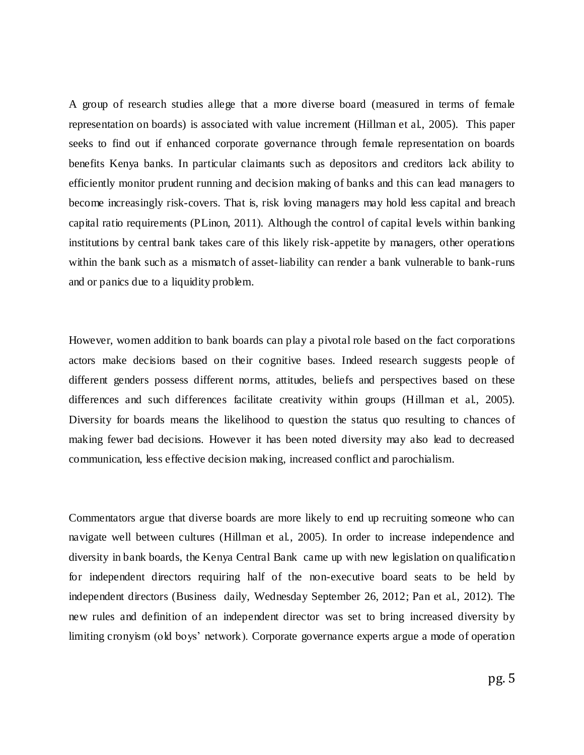A group of research studies allege that a more diverse board (measured in terms of female representation on boards) is associated with value increment (Hillman et al., 2005). This paper seeks to find out if enhanced corporate governance through female representation on boards benefits Kenya banks. In particular claimants such as depositors and creditors lack ability to efficiently monitor prudent running and decision making of banks and this can lead managers to become increasingly risk-covers. That is, risk loving managers may hold less capital and breach capital ratio requirements (PLinon, 2011). Although the control of capital levels within banking institutions by central bank takes care of this likely risk-appetite by managers, other operations within the bank such as a mismatch of asset-liability can render a bank vulnerable to bank-runs and or panics due to a liquidity problem.

However, women addition to bank boards can play a pivotal role based on the fact corporations actors make decisions based on their cognitive bases. Indeed research suggests people of different genders possess different norms, attitudes, beliefs and perspectives based on these differences and such differences facilitate creativity within groups (Hillman et al., 2005). Diversity for boards means the likelihood to question the status quo resulting to chances of making fewer bad decisions. However it has been noted diversity may also lead to decreased communication, less effective decision making, increased conflict and parochialism.

Commentators argue that diverse boards are more likely to end up recruiting someone who can navigate well between cultures (Hillman et al., 2005). In order to increase independence and diversity in bank boards, the Kenya Central Bank came up with new legislation on qualification for independent directors requiring half of the non-executive board seats to be held by independent directors (Business daily, Wednesday September 26, 2012; Pan et al., 2012). The new rules and definition of an independent director was set to bring increased diversity by limiting cronyism (old boys' network). Corporate governance experts argue a mode of operation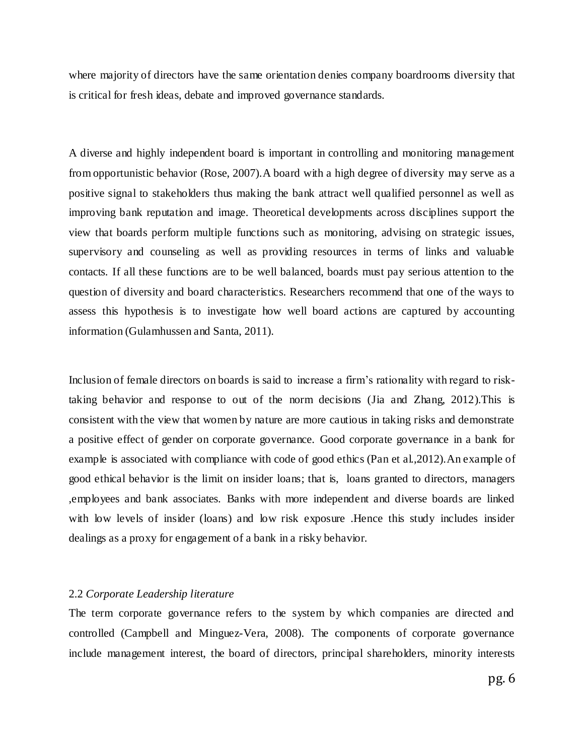where majority of directors have the same orientation denies company boardrooms diversity that is critical for fresh ideas, debate and improved governance standards.

A diverse and highly independent board is important in controlling and monitoring management from opportunistic behavior (Rose, 2007).A board with a high degree of diversity may serve as a positive signal to stakeholders thus making the bank attract well qualified personnel as well as improving bank reputation and image. Theoretical developments across disciplines support the view that boards perform multiple functions such as monitoring, advising on strategic issues, supervisory and counseling as well as providing resources in terms of links and valuable contacts. If all these functions are to be well balanced, boards must pay serious attention to the question of diversity and board characteristics. Researchers recommend that one of the ways to assess this hypothesis is to investigate how well board actions are captured by accounting information (Gulamhussen and Santa, 2011).

Inclusion of female directors on boards is said to increase a firm"s rationality with regard to risktaking behavior and response to out of the norm decisions (Jia and Zhang, 2012).This is consistent with the view that women by nature are more cautious in taking risks and demonstrate a positive effect of gender on corporate governance. Good corporate governance in a bank for example is associated with compliance with code of good ethics (Pan et al., 2012). An example of good ethical behavior is the limit on insider loans; that is, loans granted to directors, managers ,employees and bank associates. Banks with more independent and diverse boards are linked with low levels of insider (loans) and low risk exposure. Hence this study includes insider dealings as a proxy for engagement of a bank in a risky behavior.

## 2.2 *Corporate Leadership literature*

The term corporate governance refers to the system by which companies are directed and controlled (Campbell and Minguez-Vera, 2008). The components of corporate governance include management interest, the board of directors, principal shareholders, minority interests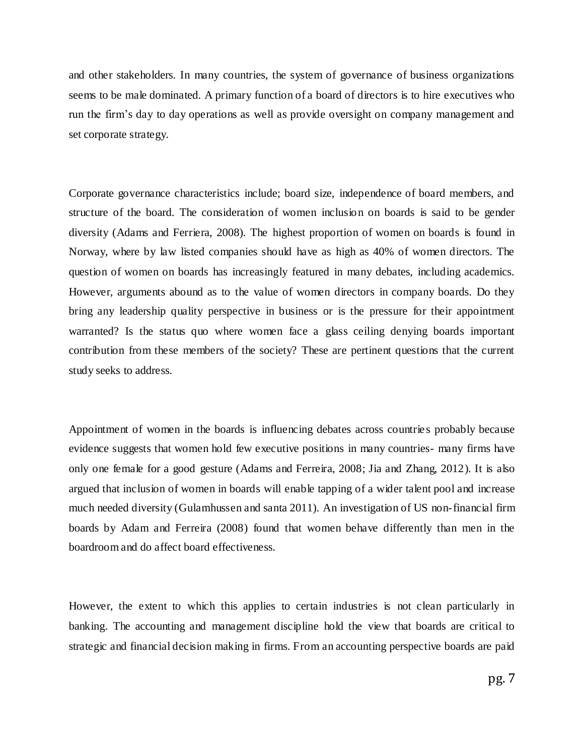and other stakeholders. In many countries, the system of governance of business organizations seems to be male dominated. A primary function of a board of directors is to hire executives who run the firm"s day to day operations as well as provide oversight on company management and set corporate strategy.

Corporate governance characteristics include; board size, independence of board members, and structure of the board. The consideration of women inclusion on boards is said to be gender diversity (Adams and Ferriera, 2008). The highest proportion of women on boards is found in Norway, where by law listed companies should have as high as 40% of women directors. The question of women on boards has increasingly featured in many debates, including academics. However, arguments abound as to the value of women directors in company boards. Do they bring any leadership quality perspective in business or is the pressure for their appointment warranted? Is the status quo where women face a glass ceiling denying boards important contribution from these members of the society? These are pertinent questions that the current study seeks to address.

Appointment of women in the boards is influencing debates across countrie s probably because evidence suggests that women hold few executive positions in many countries- many firms have only one female for a good gesture (Adams and Ferreira, 2008; Jia and Zhang, 2012). It is also argued that inclusion of women in boards will enable tapping of a wider talent pool and increase much needed diversity (Gulamhussen and santa 2011). An investigation of US non-financial firm boards by Adam and Ferreira (2008) found that women behave differently than men in the boardroom and do affect board effectiveness.

However, the extent to which this applies to certain industries is not clean particularly in banking. The accounting and management discipline hold the view that boards are critical to strategic and financial decision making in firms. From an accounting perspective boards are paid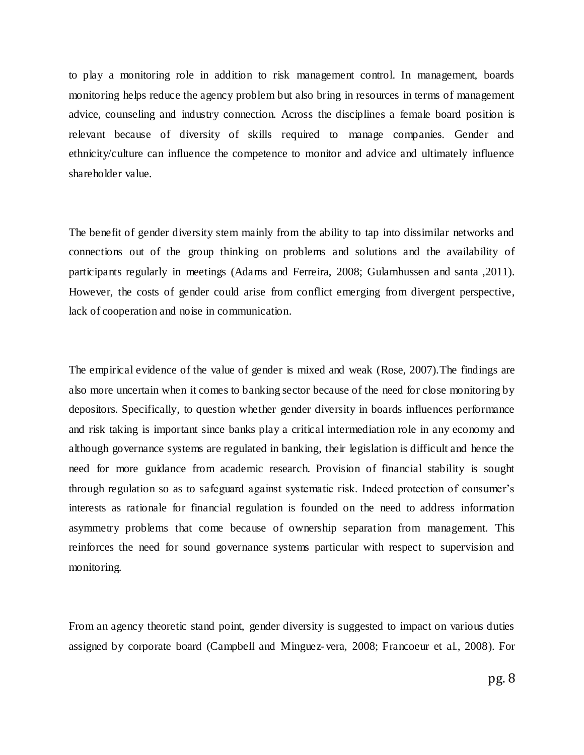to play a monitoring role in addition to risk management control. In management, boards monitoring helps reduce the agency problem but also bring in resources in terms of management advice, counseling and industry connection. Across the disciplines a female board position is relevant because of diversity of skills required to manage companies. Gender and ethnicity/culture can influence the competence to monitor and advice and ultimately influence shareholder value.

The benefit of gender diversity stem mainly from the ability to tap into dissimilar networks and connections out of the group thinking on problems and solutions and the availability of participants regularly in meetings (Adams and Ferreira, 2008; Gulamhussen and santa ,2011). However, the costs of gender could arise from conflict emerging from divergent perspective, lack of cooperation and noise in communication.

The empirical evidence of the value of gender is mixed and weak (Rose, 2007).The findings are also more uncertain when it comes to banking sector because of the need for close monitoring by depositors. Specifically, to question whether gender diversity in boards influences performance and risk taking is important since banks play a critical intermediation role in any economy and although governance systems are regulated in banking, their legislation is difficult and hence the need for more guidance from academic research. Provision of financial stability is sought through regulation so as to safeguard against systematic risk. Indeed protection of consumer"s interests as rationale for financial regulation is founded on the need to address information asymmetry problems that come because of ownership separation from management. This reinforces the need for sound governance systems particular with respect to supervision and monitoring.

From an agency theoretic stand point, gender diversity is suggested to impact on various duties assigned by corporate board (Campbell and Minguez-vera, 2008; Francoeur et al., 2008). For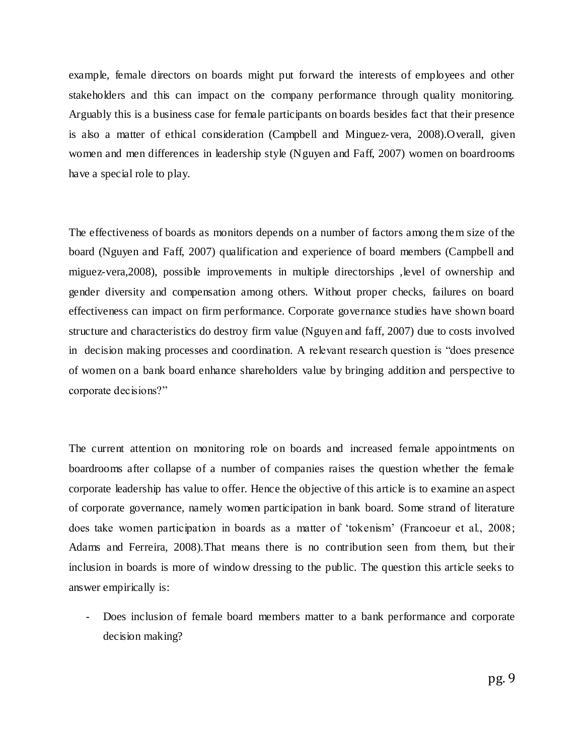example, female directors on boards might put forward the interests of employees and other stakeholders and this can impact on the company performance through quality monitoring. Arguably this is a business case for female participants on boards besides fact that their presence is also a matter of ethical consideration (Campbell and Minguez-vera, 2008).Overall, given women and men differences in leadership style (Nguyen and Faff, 2007) women on boardrooms have a special role to play.

The effectiveness of boards as monitors depends on a number of factors among them size of the board (Nguyen and Faff, 2007) qualification and experience of board members (Campbell and miguez-vera,2008), possible improvements in multiple directorships ,level of ownership and gender diversity and compensation among others. Without proper checks, failures on board effectiveness can impact on firm performance. Corporate governance studies have shown board structure and characteristics do destroy firm value (Nguyen and faff, 2007) due to costs involved in decision making processes and coordination. A relevant research question is "does presence of women on a bank board enhance shareholders value by bringing addition and perspective to corporate decisions?"

The current attention on monitoring role on boards and increased female appointments on boardrooms after collapse of a number of companies raises the question whether the female corporate leadership has value to offer. Hence the objective of this article is to examine an aspect of corporate governance, namely women participation in bank board. Some strand of literature does take women participation in boards as a matter of 'tokenism' (Francoeur et al., 2008; Adams and Ferreira, 2008).That means there is no contribution seen from them, but their inclusion in boards is more of window dressing to the public. The question this article seeks to answer empirically is:

Does inclusion of female board members matter to a bank performance and corporate decision making?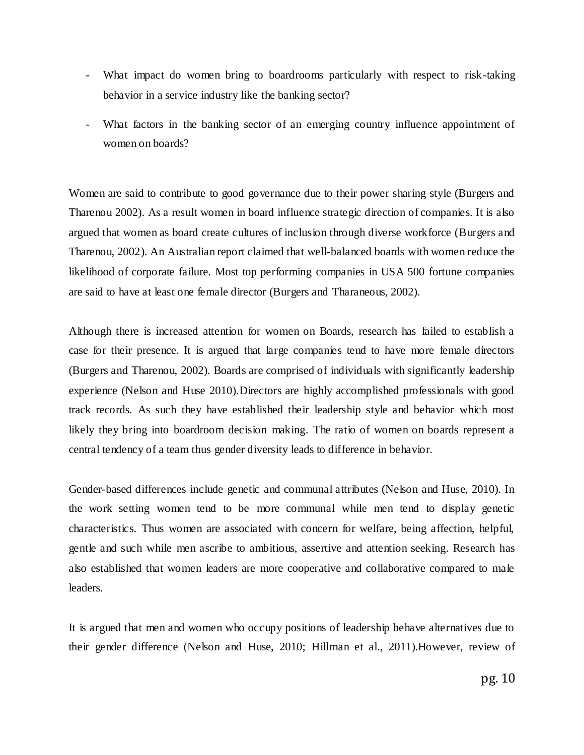- What impact do women bring to boardrooms particularly with respect to risk-taking behavior in a service industry like the banking sector?
- What factors in the banking sector of an emerging country influence appointment of women on boards?

Women are said to contribute to good governance due to their power sharing style (Burgers and Tharenou 2002). As a result women in board influence strategic direction of companies. It is also argued that women as board create cultures of inclusion through diverse workforce (Burgers and Tharenou, 2002). An Australian report claimed that well-balanced boards with women reduce the likelihood of corporate failure. Most top performing companies in USA 500 fortune companies are said to have at least one female director (Burgers and Tharaneous, 2002).

Although there is increased attention for women on Boards, research has failed to establish a case for their presence. It is argued that large companies tend to have more female directors (Burgers and Tharenou, 2002). Boards are comprised of individuals with significantly leadership experience (Nelson and Huse 2010).Directors are highly accomplished professionals with good track records. As such they have established their leadership style and behavior which most likely they bring into boardroom decision making. The ratio of women on boards represent a central tendency of a team thus gender diversity leads to difference in behavior.

Gender-based differences include genetic and communal attributes (Nelson and Huse, 2010). In the work setting women tend to be more communal while men tend to display genetic characteristics. Thus women are associated with concern for welfare, being affection, helpful, gentle and such while men ascribe to ambitious, assertive and attention seeking. Research has also established that women leaders are more cooperative and collaborative compared to male leaders.

It is argued that men and women who occupy positions of leadership behave alternatives due to their gender difference (Nelson and Huse, 2010; Hillman et al., 2011).However, review of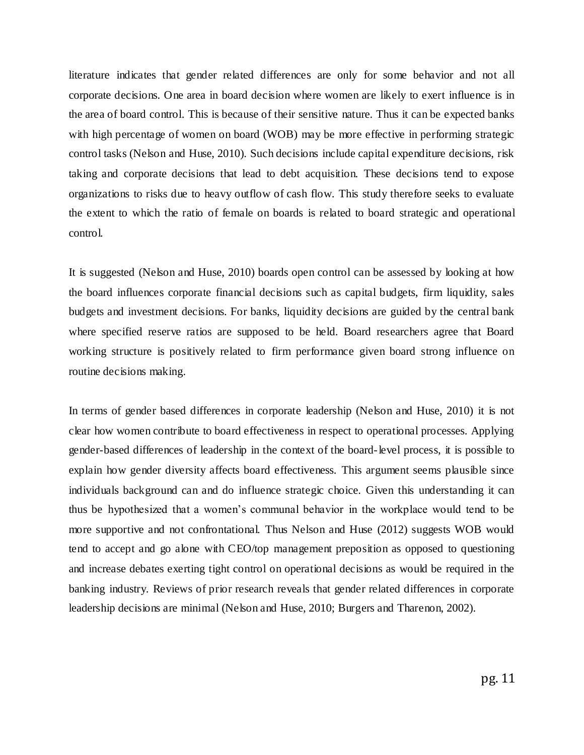literature indicates that gender related differences are only for some behavior and not all corporate decisions. One area in board decision where women are likely to exert influence is in the area of board control. This is because of their sensitive nature. Thus it can be expected banks with high percentage of women on board (WOB) may be more effective in performing strategic control tasks (Nelson and Huse, 2010). Such decisions include capital expenditure decisions, risk taking and corporate decisions that lead to debt acquisition. These decisions tend to expose organizations to risks due to heavy outflow of cash flow. This study therefore seeks to evaluate the extent to which the ratio of female on boards is related to board strategic and operational control.

It is suggested (Nelson and Huse, 2010) boards open control can be assessed by looking at how the board influences corporate financial decisions such as capital budgets, firm liquidity, sales budgets and investment decisions. For banks, liquidity decisions are guided by the central bank where specified reserve ratios are supposed to be held. Board researchers agree that Board working structure is positively related to firm performance given board strong influence on routine decisions making.

In terms of gender based differences in corporate leadership (Nelson and Huse, 2010) it is not clear how women contribute to board effectiveness in respect to operational processes. Applying gender-based differences of leadership in the context of the board-level process, it is possible to explain how gender diversity affects board effectiveness. This argument seems plausible since individuals background can and do influence strategic choice. Given this understanding it can thus be hypothesized that a women"s communal behavior in the workplace would tend to be more supportive and not confrontational. Thus Nelson and Huse (2012) suggests WOB would tend to accept and go alone with CEO/top management preposition as opposed to questioning and increase debates exerting tight control on operational decisions as would be required in the banking industry. Reviews of prior research reveals that gender related differences in corporate leadership decisions are minimal (Nelson and Huse, 2010; Burgers and Tharenon, 2002).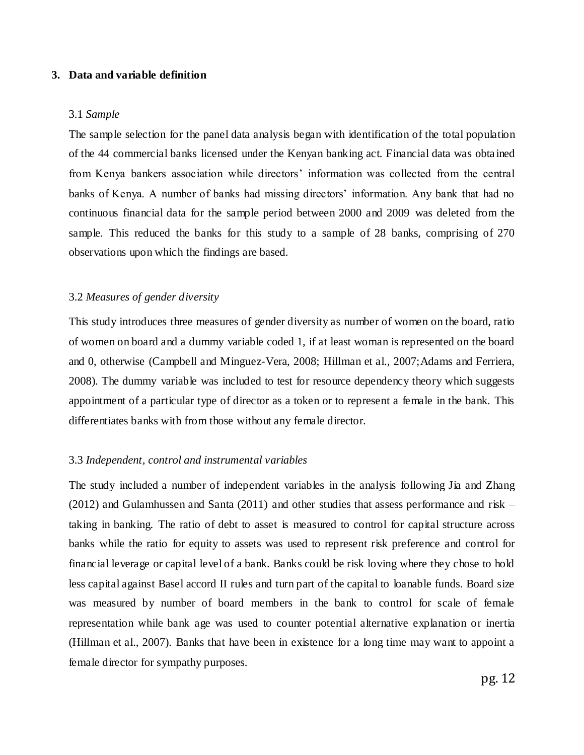## **3. Data and variable definition**

#### 3.1 *Sample*

The sample selection for the panel data analysis began with identification of the total population of the 44 commercial banks licensed under the Kenyan banking act. Financial data was obta ined from Kenya bankers association while directors" information was collected from the central banks of Kenya. A number of banks had missing directors' information. Any bank that had no continuous financial data for the sample period between 2000 and 2009 was deleted from the sample. This reduced the banks for this study to a sample of 28 banks, comprising of 270 observations upon which the findings are based.

## 3.2 *Measures of gender diversity*

This study introduces three measures of gender diversity as number of women on the board, ratio of women on board and a dummy variable coded 1, if at least woman is represented on the board and 0, otherwise (Campbell and Minguez-Vera, 2008; Hillman et al., 2007;Adams and Ferriera, 2008). The dummy variable was included to test for resource dependency theory which suggests appointment of a particular type of director as a token or to represent a female in the bank. This differentiates banks with from those without any female director.

## 3.3 *Independent, control and instrumental variables*

The study included a number of independent variables in the analysis following Jia and Zhang (2012) and Gulamhussen and Santa (2011) and other studies that assess performance and risk – taking in banking. The ratio of debt to asset is measured to control for capital structure across banks while the ratio for equity to assets was used to represent risk preference and control for financial leverage or capital level of a bank. Banks could be risk loving where they chose to hold less capital against Basel accord II rules and turn part of the capital to loanable funds. Board size was measured by number of board members in the bank to control for scale of female representation while bank age was used to counter potential alternative explanation or inertia (Hillman et al., 2007). Banks that have been in existence for a long time may want to appoint a female director for sympathy purposes.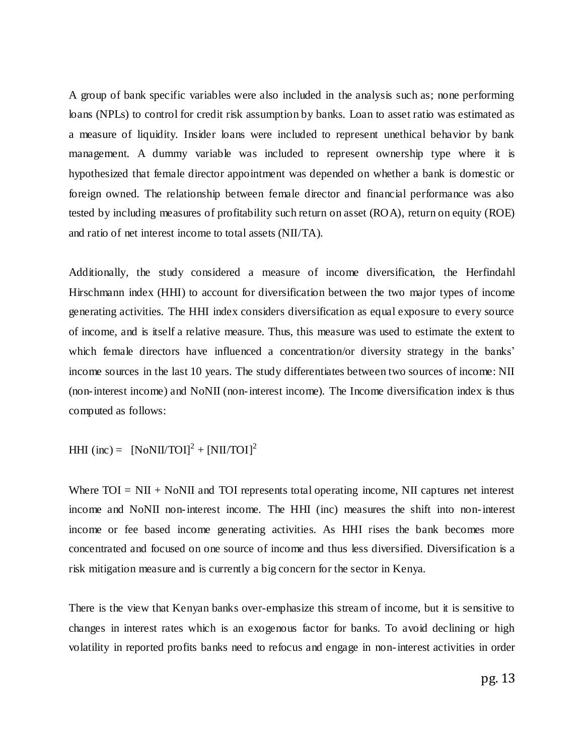A group of bank specific variables were also included in the analysis such as; none performing loans (NPLs) to control for credit risk assumption by banks. Loan to asset ratio was estimated as a measure of liquidity. Insider loans were included to represent unethical behavior by bank management. A dummy variable was included to represent ownership type where it is hypothesized that female director appointment was depended on whether a bank is domestic or foreign owned. The relationship between female director and financial performance was also tested by including measures of profitability such return on asset (ROA), return on equity (ROE) and ratio of net interest income to total assets (NII/TA).

Additionally, the study considered a measure of income diversification, the Herfindahl Hirschmann index (HHI) to account for diversification between the two major types of income generating activities. The HHI index considers diversification as equal exposure to every source of income, and is itself a relative measure. Thus, this measure was used to estimate the extent to which female directors have influenced a concentration/or diversity strategy in the banks' income sources in the last 10 years. The study differentiates between two sources of income: NII (non-interest income) and NoNII (non-interest income). The Income diversification index is thus computed as follows:

HHI (inc) =  $[NoNII/TOI]^2 + [NII/TOI]^2$ 

Where  $TOI = NI + NoNI$  and  $TOI$  represents total operating income, NII captures net interest income and NoNII non-interest income. The HHI (inc) measures the shift into non-interest income or fee based income generating activities. As HHI rises the bank becomes more concentrated and focused on one source of income and thus less diversified. Diversification is a risk mitigation measure and is currently a big concern for the sector in Kenya.

There is the view that Kenyan banks over-emphasize this stream of income, but it is sensitive to changes in interest rates which is an exogenous factor for banks. To avoid declining or high volatility in reported profits banks need to refocus and engage in non-interest activities in order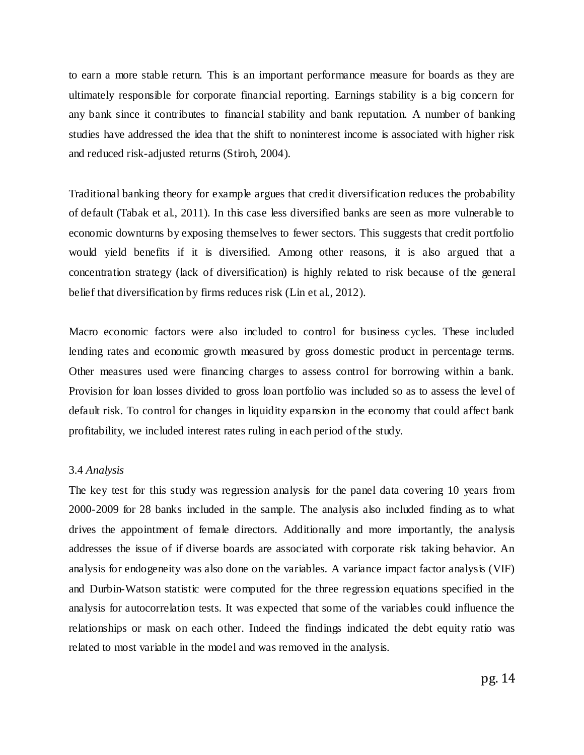to earn a more stable return. This is an important performance measure for boards as they are ultimately responsible for corporate financial reporting. Earnings stability is a big concern for any bank since it contributes to financial stability and bank reputation. A number of banking studies have addressed the idea that the shift to noninterest income is associated with higher risk and reduced risk-adjusted returns (Stiroh, 2004).

Traditional banking theory for example argues that credit diversification reduces the probability of default (Tabak et al., 2011). In this case less diversified banks are seen as more vulnerable to economic downturns by exposing themselves to fewer sectors. This suggests that credit portfolio would yield benefits if it is diversified. Among other reasons, it is also argued that a concentration strategy (lack of diversification) is highly related to risk because of the general belief that diversification by firms reduces risk (Lin et al., 2012).

Macro economic factors were also included to control for business cycles. These included lending rates and economic growth measured by gross domestic product in percentage terms. Other measures used were financing charges to assess control for borrowing within a bank. Provision for loan losses divided to gross loan portfolio was included so as to assess the level of default risk. To control for changes in liquidity expansion in the economy that could affect bank profitability, we included interest rates ruling in each period of the study.

#### 3.4 *Analysis*

The key test for this study was regression analysis for the panel data covering 10 years from 2000-2009 for 28 banks included in the sample. The analysis also included finding as to what drives the appointment of female directors. Additionally and more importantly, the analysis addresses the issue of if diverse boards are associated with corporate risk taking behavior. An analysis for endogeneity was also done on the variables. A variance impact factor analysis (VIF) and Durbin-Watson statistic were computed for the three regression equations specified in the analysis for autocorrelation tests. It was expected that some of the variables could influence the relationships or mask on each other. Indeed the findings indicated the debt equity ratio was related to most variable in the model and was removed in the analysis.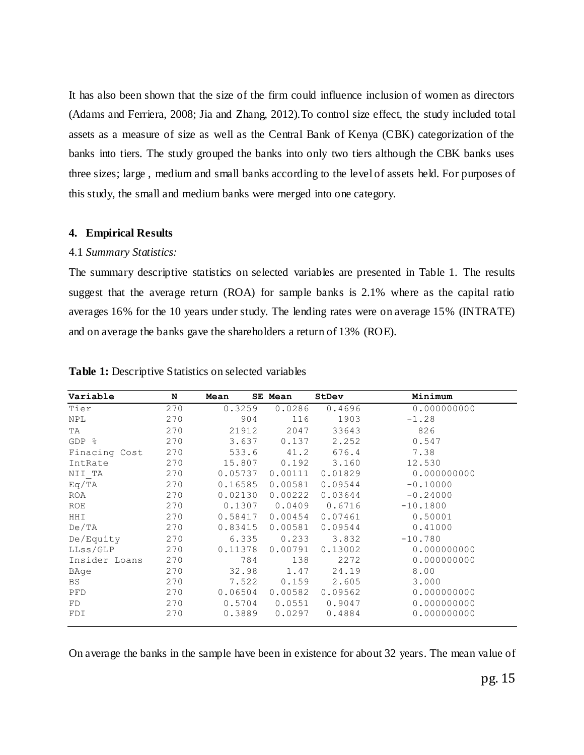It has also been shown that the size of the firm could influence inclusion of women as directors (Adams and Ferriera, 2008; Jia and Zhang, 2012).To control size effect, the study included total assets as a measure of size as well as the Central Bank of Kenya (CBK) categorization of the banks into tiers. The study grouped the banks into only two tiers although the CBK banks uses three sizes; large , medium and small banks according to the level of assets held. For purposes of this study, the small and medium banks were merged into one category.

#### **4. Empirical Results**

#### 4.1 *Summary Statistics:*

The summary descriptive statistics on selected variables are presented in Table 1. The results suggest that the average return (ROA) for sample banks is 2.1% where as the capital ratio averages 16% for the 10 years under study. The lending rates were on average 15% (INTRATE) and on average the banks gave the shareholders a return of 13% (ROE).

| Variable      | N   | Mean    | SE Mean | StDev   | Minimum     |
|---------------|-----|---------|---------|---------|-------------|
| Tier          | 270 | 0.3259  | 0.0286  | 0.4696  | 0.000000000 |
| <b>NPL</b>    | 270 | 904     | 116     | 1903    | $-1.28$     |
| TA            | 270 | 21912   | 2047    | 33643   | 826         |
| GDP %         | 270 | 3.637   | 0.137   | 2.252   | 0.547       |
| Finacing Cost | 270 | 533.6   | 41.2    | 676.4   | 7.38        |
| IntRate       | 270 | 15.807  | 0.192   | 3.160   | 12.530      |
| NII TA        | 270 | 0.05737 | 0.00111 | 0.01829 | 0.000000000 |
| Eq/TA         | 270 | 0.16585 | 0.00581 | 0.09544 | $-0.10000$  |
| <b>ROA</b>    | 270 | 0.02130 | 0.00222 | 0.03644 | $-0.24000$  |
| <b>ROE</b>    | 270 | 0.1307  | 0.0409  | 0.6716  | $-10.1800$  |
| HHI           | 270 | 0.58417 | 0.00454 | 0.07461 | 0.50001     |
| De/TA         | 270 | 0.83415 | 0.00581 | 0.09544 | 0.41000     |
| De/Equity     | 270 | 6.335   | 0.233   | 3.832   | $-10.780$   |
| LLss/GLP      | 270 | 0.11378 | 0.00791 | 0.13002 | 0.000000000 |
| Insider Loans | 270 | 784     | 138     | 2272    | 0.000000000 |
| BAge          | 270 | 32.98   | 1.47    | 24.19   | 8.00        |
| BS            | 270 | 7.522   | 0.159   | 2.605   | 3.000       |
| PFD           | 270 | 0.06504 | 0.00582 | 0.09562 | 0.000000000 |
| FD            | 270 | 0.5704  | 0.0551  | 0.9047  | 0.000000000 |
| FDI           | 270 | 0.3889  | 0.0297  | 0.4884  | 0.000000000 |

**Table 1:** Descriptive Statistics on selected variables

On average the banks in the sample have been in existence for about 32 years. The mean value of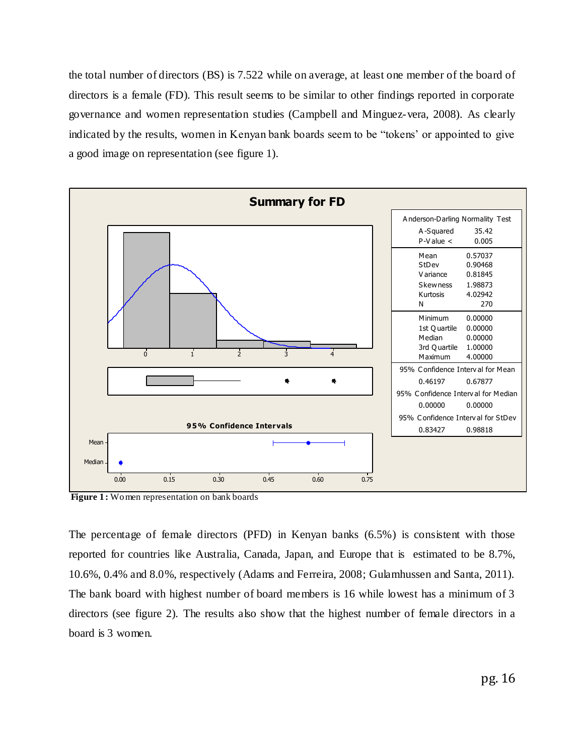the total number of directors (BS) is 7.522 while on average, at least one member of the board of directors is a female (FD). This result seems to be similar to other findings reported in corporate governance and women representation studies (Campbell and Minguez-vera, 2008). As clearly indicated by the results, women in Kenyan bank boards seem to be "tokens" or appointed to give a good image on representation (see figure 1).



**Figure 1:** Women representation on bank boards

The percentage of female directors (PFD) in Kenyan banks (6.5%) is consistent with those reported for countries like Australia, Canada, Japan, and Europe that is estimated to be 8.7%, 10.6%, 0.4% and 8.0%, respectively (Adams and Ferreira, 2008; Gulamhussen and Santa, 2011). The bank board with highest number of board members is 16 while lowest has a minimum of 3 directors (see figure 2). The results also show that the highest number of female directors in a board is 3 women.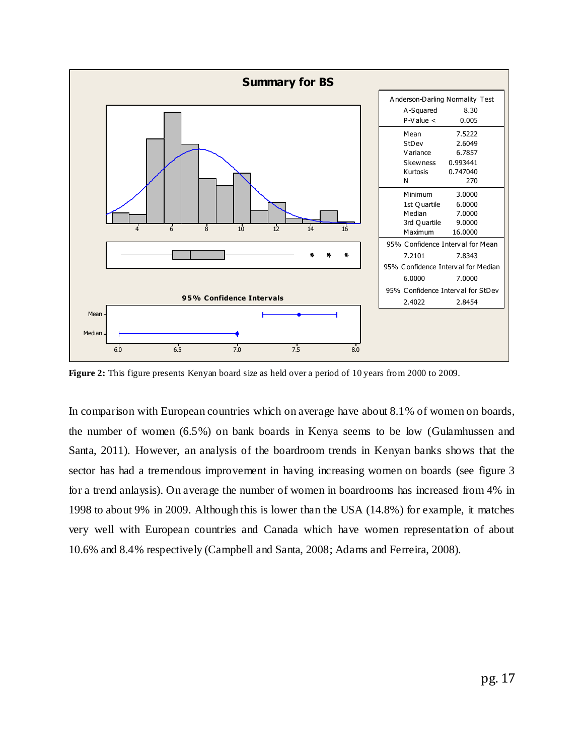

**Figure 2:** This figure presents Kenyan board size as held over a period of 10 years from 2000 to 2009.

In comparison with European countries which on average have about 8.1% of women on boards, the number of women (6.5%) on bank boards in Kenya seems to be low (Gulamhussen and Santa, 2011). However, an analysis of the boardroom trends in Kenyan banks shows that the sector has had a tremendous improvement in having increasing women on boards (see figure 3 for a trend anlaysis). On average the number of women in boardrooms has increased from 4% in 1998 to about 9% in 2009. Although this is lower than the USA (14.8%) for example, it matches very well with European countries and Canada which have women representation of about 10.6% and 8.4% respectively (Campbell and Santa, 2008; Adams and Ferreira, 2008).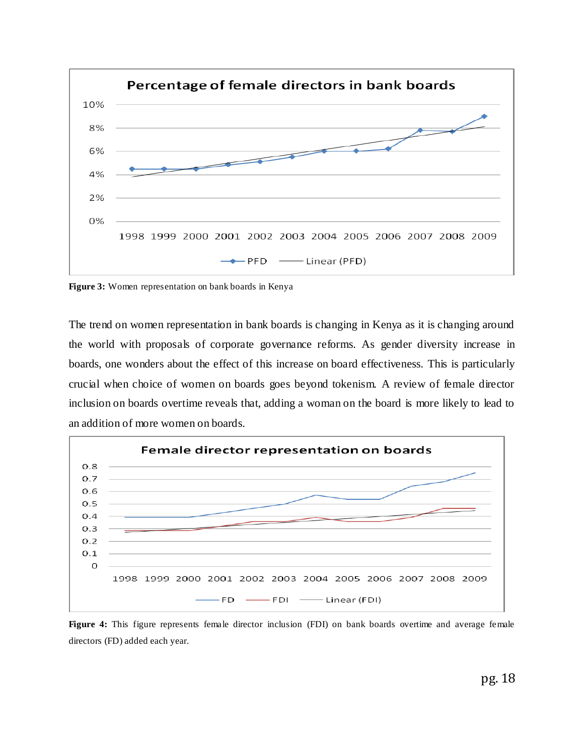

**Figure 3:** Women representation on bank boards in Kenya

The trend on women representation in bank boards is changing in Kenya as it is changing around the world with proposals of corporate governance reforms. As gender diversity increase in boards, one wonders about the effect of this increase on board effectiveness. This is particularly crucial when choice of women on boards goes beyond tokenism. A review of female director inclusion on boards overtime reveals that, adding a woman on the board is more likely to lead to an addition of more women on boards.



**Figure 4:** This figure represents female director inclusion (FDI) on bank boards overtime and average female directors (FD) added each year.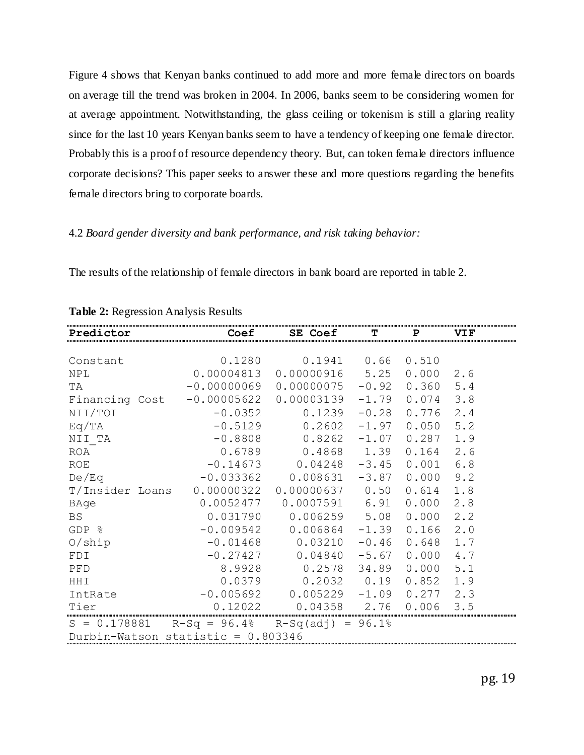Figure 4 shows that Kenyan banks continued to add more and more female direc tors on boards on average till the trend was broken in 2004. In 2006, banks seem to be considering women for at average appointment. Notwithstanding, the glass ceiling or tokenism is still a glaring reality since for the last 10 years Kenyan banks seem to have a tendency of keeping one female director. Probably this is a proof of resource dependency theory. But, can token female directors influence corporate decisions? This paper seeks to answer these and more questions regarding the benefits female directors bring to corporate boards.

# 4.2 *Board gender diversity and bank performance, and risk taking behavior:*

The results of the relationship of female directors in bank board are reported in table 2.

| Predictor                                                  | Coef          | Coef<br>SЕ       |         | Р     | V T F. |  |  |
|------------------------------------------------------------|---------------|------------------|---------|-------|--------|--|--|
|                                                            |               |                  |         |       |        |  |  |
| Constant                                                   | 0.1280        | $0.1941$ $0.66$  |         | 0.510 |        |  |  |
| NPL                                                        | 0.00004813    | 0.00000916       | 5.25    | 0.000 | 2.6    |  |  |
| TА                                                         | $-0.00000069$ | 0.00000075       | $-0.92$ | 0.360 | 5.4    |  |  |
| Financing Cost                                             | $-0.00005622$ | 0.00003139       | $-1.79$ | 0.074 | 3.8    |  |  |
| NII/TOI                                                    | $-0.0352$     | 0.1239           | $-0.28$ | 0.776 | 2.4    |  |  |
| Eq/TA                                                      | $-0.5129$     | 0.2602           | $-1.97$ | 0.050 | 5.2    |  |  |
| NII TA                                                     | $-0.8808$     | 0.8262           | $-1.07$ | 0.287 | 1.9    |  |  |
| ROA                                                        | 0.6789        | 0.4868           | 1.39    | 0.164 | 2.6    |  |  |
| <b>ROE</b>                                                 | $-0.14673$    | 0.04248          | $-3.45$ | 0.001 | 6.8    |  |  |
| De/Eq                                                      | $-0.033362$   | 0.008631         | $-3.87$ | 0.000 | 9.2    |  |  |
| T/Insider Loans                                            | 0.00000322    | 0.00000637       | 0.50    | 0.614 | 1.8    |  |  |
| BAge                                                       | 0.0052477     | $0.0007591$ 6.91 |         | 0.000 | 2.8    |  |  |
| <b>BS</b>                                                  | 0.031790      | $0.006259$ 5.08  |         | 0.000 | 2.2    |  |  |
| GDP %                                                      | $-0.009542$   | 0.006864         | $-1.39$ | 0.166 | 2.0    |  |  |
| 0/ship                                                     | $-0.01468$    | 0.03210          | $-0.46$ | 0.648 | 1.7    |  |  |
| FDI                                                        | $-0.27427$    | 0.04840          | $-5.67$ | 0.000 | 4.7    |  |  |
| PFD                                                        | 8.9928        | 0.2578           | 34.89   | 0.000 | 5.1    |  |  |
| HHI                                                        | 0.0379        | 0.2032           | 0.19    | 0.852 | 1.9    |  |  |
| IntRate                                                    | $-0.005692$   | 0.005229         | $-1.09$ | 0.277 | 2.3    |  |  |
| Tier                                                       | 0.12022       | 0.04358          | 2.76    | 0.006 | 3.5    |  |  |
| $R-Sq = 96.4%$<br>$R-Sq(adj) = 96.1%$<br>$S =$<br>0.178881 |               |                  |         |       |        |  |  |
| Durbin-Watson statistic = $0.803346$                       |               |                  |         |       |        |  |  |

|  |  | <b>Table 2: Regression Analysis Results</b> |  |  |
|--|--|---------------------------------------------|--|--|
|--|--|---------------------------------------------|--|--|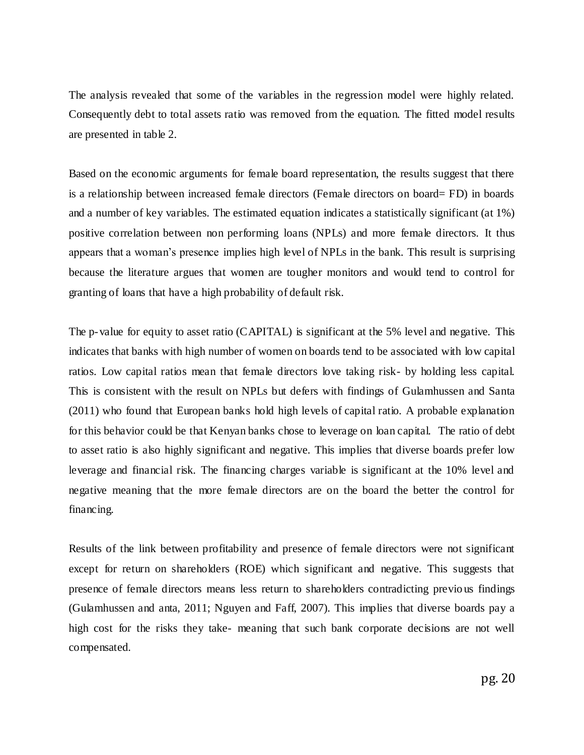The analysis revealed that some of the variables in the regression model were highly related. Consequently debt to total assets ratio was removed from the equation. The fitted model results are presented in table 2.

Based on the economic arguments for female board representation, the results suggest that there is a relationship between increased female directors (Female directors on board= FD) in boards and a number of key variables. The estimated equation indicates a statistically significant (at 1%) positive correlation between non performing loans (NPLs) and more female directors. It thus appears that a woman"s presence implies high level of NPLs in the bank. This result is surprising because the literature argues that women are tougher monitors and would tend to control for granting of loans that have a high probability of default risk.

The p-value for equity to asset ratio (CAPITAL) is significant at the 5% level and negative. This indicates that banks with high number of women on boards tend to be associated with low capital ratios. Low capital ratios mean that female directors love taking risk- by holding less capital. This is consistent with the result on NPLs but defers with findings of Gulamhussen and Santa (2011) who found that European banks hold high levels of capital ratio. A probable explanation for this behavior could be that Kenyan banks chose to leverage on loan capital. The ratio of debt to asset ratio is also highly significant and negative. This implies that diverse boards prefer low leverage and financial risk. The financing charges variable is significant at the 10% level and negative meaning that the more female directors are on the board the better the control for financing.

Results of the link between profitability and presence of female directors were not significant except for return on shareholders (ROE) which significant and negative. This suggests that presence of female directors means less return to shareholders contradicting previo us findings (Gulamhussen and anta, 2011; Nguyen and Faff, 2007). This implies that diverse boards pay a high cost for the risks they take- meaning that such bank corporate decisions are not well compensated.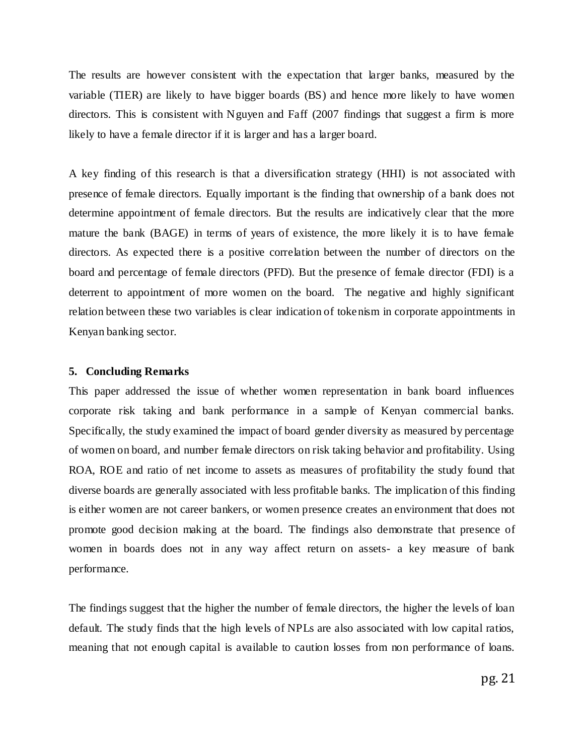The results are however consistent with the expectation that larger banks, measured by the variable (TIER) are likely to have bigger boards (BS) and hence more likely to have women directors. This is consistent with Nguyen and Faff (2007 findings that suggest a firm is more likely to have a female director if it is larger and has a larger board.

A key finding of this research is that a diversification strategy (HHI) is not associated with presence of female directors. Equally important is the finding that ownership of a bank does not determine appointment of female directors. But the results are indicatively clear that the more mature the bank (BAGE) in terms of years of existence, the more likely it is to have female directors. As expected there is a positive correlation between the number of directors on the board and percentage of female directors (PFD). But the presence of female director (FDI) is a deterrent to appointment of more women on the board. The negative and highly significant relation between these two variables is clear indication of tokenism in corporate appointments in Kenyan banking sector.

## **5. Concluding Remarks**

This paper addressed the issue of whether women representation in bank board influences corporate risk taking and bank performance in a sample of Kenyan commercial banks. Specifically, the study examined the impact of board gender diversity as measured by percentage of women on board, and number female directors on risk taking behavior and profitability. Using ROA, ROE and ratio of net income to assets as measures of profitability the study found that diverse boards are generally associated with less profitable banks. The implication of this finding is either women are not career bankers, or women presence creates an environment that does not promote good decision making at the board. The findings also demonstrate that presence of women in boards does not in any way affect return on assets- a key measure of bank performance.

The findings suggest that the higher the number of female directors, the higher the levels of loan default. The study finds that the high levels of NPLs are also associated with low capital ratios, meaning that not enough capital is available to caution losses from non performance of loans.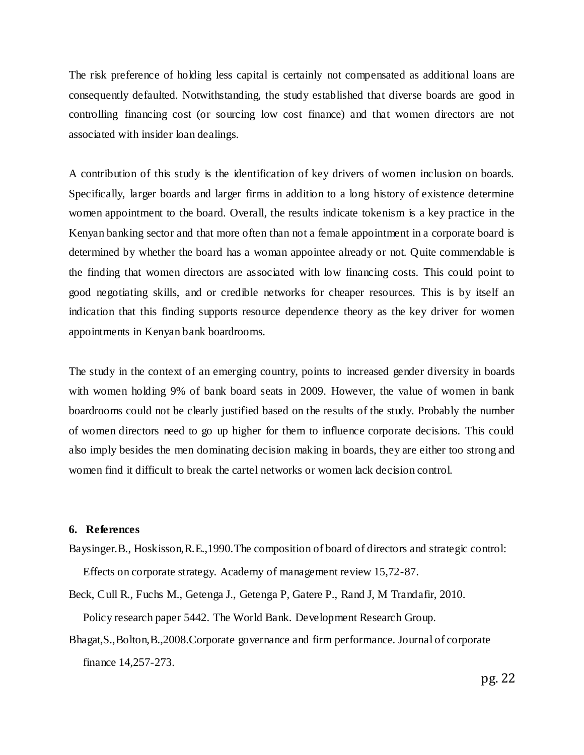The risk preference of holding less capital is certainly not compensated as additional loans are consequently defaulted. Notwithstanding, the study established that diverse boards are good in controlling financing cost (or sourcing low cost finance) and that women directors are not associated with insider loan dealings.

A contribution of this study is the identification of key drivers of women inclusion on boards. Specifically, larger boards and larger firms in addition to a long history of existence determine women appointment to the board. Overall, the results indicate tokenism is a key practice in the Kenyan banking sector and that more often than not a female appointment in a corporate board is determined by whether the board has a woman appointee already or not. Quite commendable is the finding that women directors are associated with low financing costs. This could point to good negotiating skills, and or credible networks for cheaper resources. This is by itself an indication that this finding supports resource dependence theory as the key driver for women appointments in Kenyan bank boardrooms.

The study in the context of an emerging country, points to increased gender diversity in boards with women holding 9% of bank board seats in 2009. However, the value of women in bank boardrooms could not be clearly justified based on the results of the study. Probably the number of women directors need to go up higher for them to influence corporate decisions. This could also imply besides the men dominating decision making in boards, they are either too strong and women find it difficult to break the cartel networks or women lack decision control.

# **6. References**

Baysinger.B., Hoskisson,R.E.,1990.The composition of board of directors and strategic control: Effects on corporate strategy. Academy of management review 15,72-87.

Beck, Cull R., Fuchs M., Getenga J., Getenga P, Gatere P., Rand J, M Trandafir, 2010. Policy research paper 5442. The World Bank. Development Research Group.

Bhagat,S.,Bolton,B.,2008.Corporate governance and firm performance. Journal of corporate finance 14,257-273.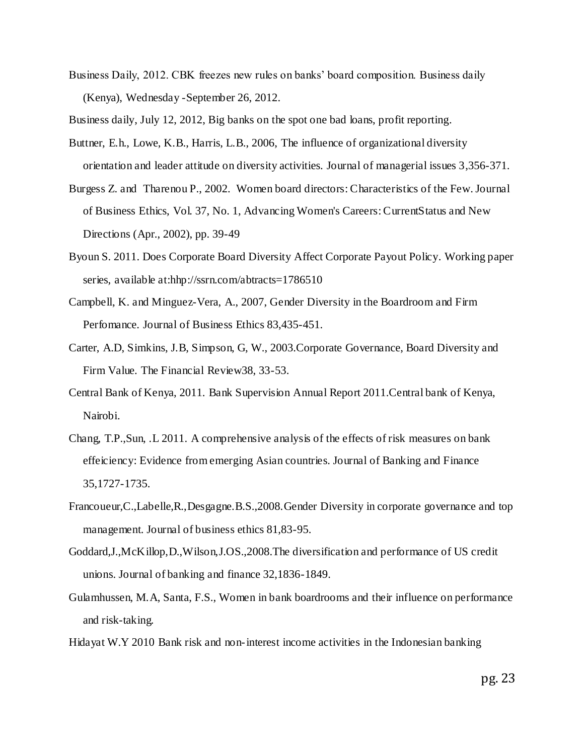Business Daily, 2012. CBK freezes new rules on banks" board composition. Business daily (Kenya), Wednesday -September 26, 2012.

Business daily, July 12, 2012, Big banks on the spot one bad loans, profit reporting.

- Buttner, E.h., Lowe, K.B., Harris, L.B., 2006, The influence of organizational diversity orientation and leader attitude on diversity activities. Journal of managerial issues 3,356-371.
- Burgess Z. and Tharenou P., 2002. Women board directors: Characteristics of the Few.Journal of Business Ethics, Vol. 37, No. 1, Advancing Women's Careers: CurrentStatus and New Directions (Apr., 2002), pp. 39-49
- Byoun S. 2011. Does Corporate Board Diversity Affect Corporate Payout Policy. Working paper series, available at:hhp://ssrn.com/abtracts=1786510
- Campbell, K. and Minguez-Vera, A., 2007, Gender Diversity in the Boardroom and Firm Perfomance. Journal of Business Ethics 83,435-451.
- Carter, A.D, Simkins, J.B, Simpson, G, W., 2003.Corporate Governance, Board Diversity and Firm Value. The Financial Review38, 33-53.
- Central Bank of Kenya, 2011. Bank Supervision Annual Report 2011.Central bank of Kenya, Nairobi.
- Chang, T.P.,Sun, .L 2011. A comprehensive analysis of the effects of risk measures on bank effeiciency: Evidence from emerging Asian countries. Journal of Banking and Finance 35,1727-1735.
- Francoueur,C.,Labelle,R.,Desgagne.B.S.,2008.Gender Diversity in corporate governance and top management. Journal of business ethics 81,83-95.
- Goddard,J.,McKillop,D.,Wilson,J.OS.,2008.The diversification and performance of US credit unions. Journal of banking and finance 32,1836-1849.
- Gulamhussen, M.A, Santa, F.S., Women in bank boardrooms and their influence on performance and risk-taking.
- Hidayat W.Y 2010 Bank risk and non-interest income activities in the Indonesian banking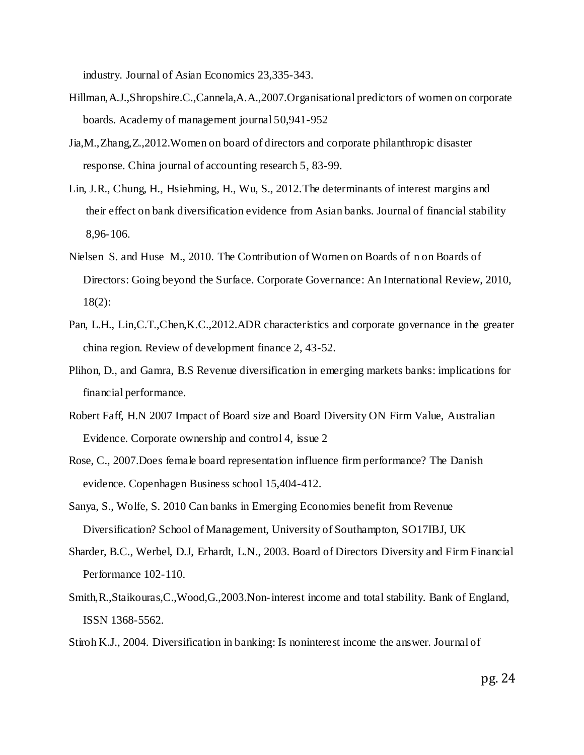industry. Journal of Asian Economics 23,335-343.

- Hillman,A.J.,Shropshire.C.,Cannela,A.A.,2007.Organisational predictors of women on corporate boards. Academy of management journal 50,941-952
- Jia,M.,Zhang,Z.,2012.Women on board of directors and corporate philanthropic disaster response. China journal of accounting research 5, 83-99.
- Lin, J.R., Chung, H., Hsiehming, H., Wu, S., 2012.The determinants of interest margins and their effect on bank diversification evidence from Asian banks. Journal of financial stability 8,96-106.
- Nielsen S. and Huse M., 2010. The Contribution of Women on Boards of n on Boards of Directors: Going beyond the Surface. Corporate Governance: An International Review, 2010, 18(2):
- Pan, L.H., Lin,C.T.,Chen,K.C.,2012.ADR characteristics and corporate governance in the greater china region. Review of development finance 2, 43-52.
- Plihon, D., and Gamra, B.S Revenue diversification in emerging markets banks: implications for financial performance.
- Robert Faff, H.N 2007 Impact of Board size and Board Diversity ON Firm Value, Australian Evidence. Corporate ownership and control 4, issue 2
- Rose, C., 2007.Does female board representation influence firm performance? The Danish evidence. Copenhagen Business school 15,404-412.
- Sanya, S., Wolfe, S. 2010 Can banks in Emerging Economies benefit from Revenue Diversification? School of Management, University of Southampton, SO17IBJ, UK
- Sharder, B.C., Werbel, D.J, Erhardt, L.N., 2003. Board of Directors Diversity and Firm Financial Performance 102-110.
- Smith,R.,Staikouras,C.,Wood,G.,2003.Non-interest income and total stability. Bank of England, ISSN 1368-5562.
- Stiroh K.J., 2004. Diversification in banking: Is noninterest income the answer. Journal of